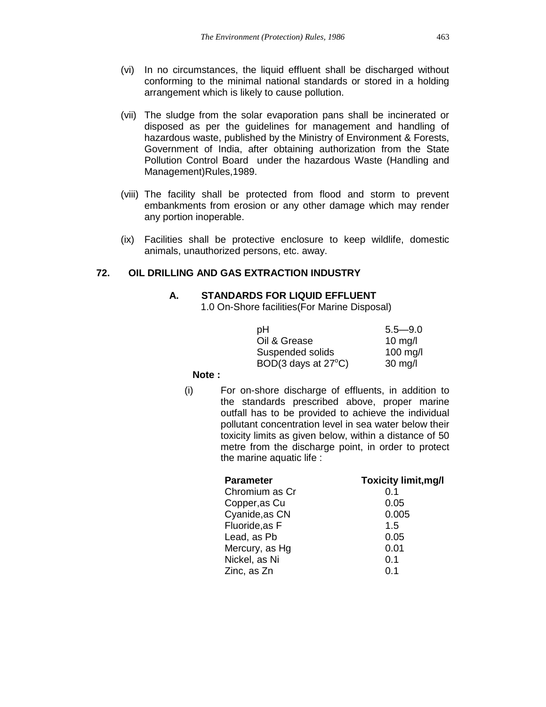- (vi) In no circumstances, the liquid effluent shall be discharged without conforming to the minimal national standards or stored in a holding arrangement which is likely to cause pollution.
- (vii) The sludge from the solar evaporation pans shall be incinerated or disposed as per the guidelines for management and handling of hazardous waste, published by the Ministry of Environment & Forests, Government of India, after obtaining authorization from the State Pollution Control Board under the hazardous Waste (Handling and Management)Rules,1989.
- (viii) The facility shall be protected from flood and storm to prevent embankments from erosion or any other damage which may render any portion inoperable.
- (ix) Facilities shall be protective enclosure to keep wildlife, domestic animals, unauthorized persons, etc. away.

# **72. OIL DRILLING AND GAS EXTRACTION INDUSTRY**

## **A. STANDARDS FOR LIQUID EFFLUENT**

1.0 On-Shore facilities(For Marine Disposal)

| рH                            | $5.5 - 9.0$       |
|-------------------------------|-------------------|
| Oil & Grease                  | $10 \text{ mg/l}$ |
| Suspended solids              | 100 mg/l          |
| BOD(3 days at $27^{\circ}$ C) | $30$ mg/l         |

### **Note :**

(i) For on-shore discharge of effluents, in addition to the standards prescribed above, proper marine outfall has to be provided to achieve the individual pollutant concentration level in sea water below their toxicity limits as given below, within a distance of 50 metre from the discharge point, in order to protect the marine aquatic life :

| <b>Parameter</b> | <b>Toxicity limit, mg/l</b> |
|------------------|-----------------------------|
| Chromium as Cr   | 0.1                         |
| Copper, as Cu    | 0.05                        |
| Cyanide, as CN   | 0.005                       |
| Fluoride, as F   | 1.5                         |
| Lead, as Pb      | 0.05                        |
| Mercury, as Hg   | 0.01                        |
| Nickel, as Ni    | 0.1                         |
| Zinc, as Zn      | 0.1                         |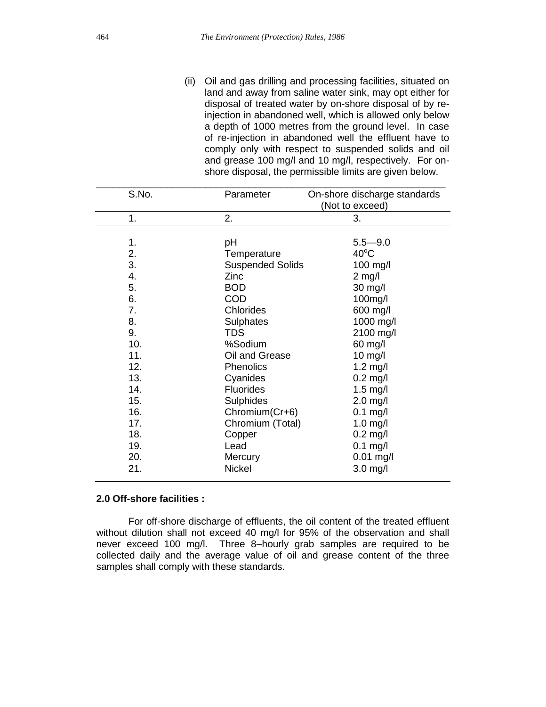(ii) Oil and gas drilling and processing facilities, situated on land and away from saline water sink, may opt either for disposal of treated water by on-shore disposal of by reinjection in abandoned well, which is allowed only below a depth of 1000 metres from the ground level. In case of re-injection in abandoned well the effluent have to comply only with respect to suspended solids and oil and grease 100 mg/l and 10 mg/l, respectively. For onshore disposal, the permissible limits are given below.

| S.No. | Parameter               | On-shore discharge standards<br>(Not to exceed) |
|-------|-------------------------|-------------------------------------------------|
| 1.    | 2.                      | 3.                                              |
| 1.    | рH                      | $5.5 - 9.0$                                     |
| 2.    | Temperature             | $40^{\circ}$ C                                  |
| 3.    | <b>Suspended Solids</b> | $100$ mg/l                                      |
| 4.    | Zinc                    | $2$ mg/l                                        |
| 5.    | <b>BOD</b>              | 30 mg/l                                         |
| 6.    | <b>COD</b>              | 100mg/l                                         |
| 7.    | Chlorides               | 600 mg/l                                        |
| 8.    | Sulphates               | 1000 mg/l                                       |
| 9.    | <b>TDS</b>              | 2100 mg/l                                       |
| 10.   | %Sodium                 | 60 mg/l                                         |
| 11.   | Oil and Grease          | $10$ mg/l                                       |
| 12.   | Phenolics               | $1.2$ mg/l                                      |
| 13.   | Cyanides                | $0.2$ mg/l                                      |
| 14.   | <b>Fluorides</b>        | $1.5$ mg/l                                      |
| 15.   | <b>Sulphides</b>        | $2.0$ mg/l                                      |
| 16.   | Chromium(Cr+6)          | $0.1$ mg/l                                      |
| 17.   | Chromium (Total)        | $1.0$ mg/l                                      |
| 18.   | Copper                  | $0.2$ mg/l                                      |
| 19.   | Lead                    | $0.1$ mg/l                                      |
| 20.   | Mercury                 | $0.01$ mg/l                                     |
| 21.   | Nickel                  | $3.0$ mg/l                                      |

#### **2.0 Off-shore facilities :**

For off-shore discharge of effluents, the oil content of the treated effluent without dilution shall not exceed 40 mg/l for 95% of the observation and shall never exceed 100 mg/l. Three 8–hourly grab samples are required to be collected daily and the average value of oil and grease content of the three samples shall comply with these standards.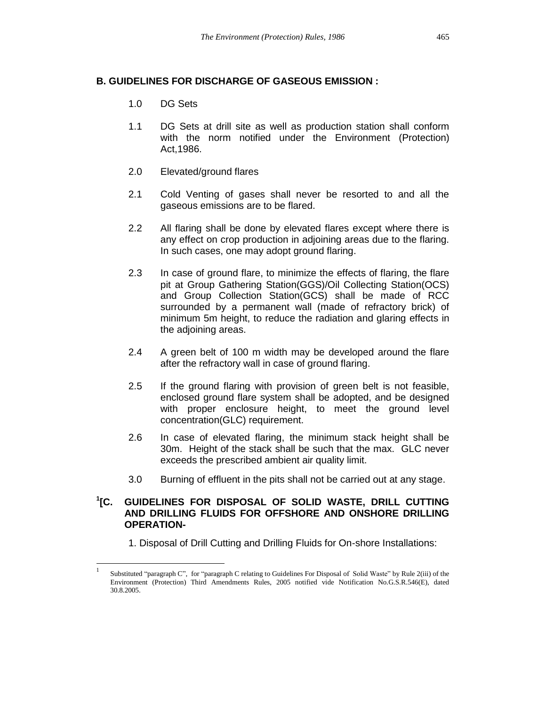## **B. GUIDELINES FOR DISCHARGE OF GASEOUS EMISSION :**

1.0 DG Sets

 $\overline{a}$ 

- 1.1 DG Sets at drill site as well as production station shall conform with the norm notified under the Environment (Protection) Act,1986.
- 2.0 Elevated/ground flares
- 2.1 Cold Venting of gases shall never be resorted to and all the gaseous emissions are to be flared.
- 2.2 All flaring shall be done by elevated flares except where there is any effect on crop production in adjoining areas due to the flaring. In such cases, one may adopt ground flaring.
- 2.3 In case of ground flare, to minimize the effects of flaring, the flare pit at Group Gathering Station(GGS)/Oil Collecting Station(OCS) and Group Collection Station(GCS) shall be made of RCC surrounded by a permanent wall (made of refractory brick) of minimum 5m height, to reduce the radiation and glaring effects in the adjoining areas.
- 2.4 A green belt of 100 m width may be developed around the flare after the refractory wall in case of ground flaring.
- 2.5 If the ground flaring with provision of green belt is not feasible, enclosed ground flare system shall be adopted, and be designed with proper enclosure height, to meet the ground level concentration(GLC) requirement.
- 2.6 In case of elevated flaring, the minimum stack height shall be 30m. Height of the stack shall be such that the max. GLC never exceeds the prescribed ambient air quality limit.
- 3.0 Burning of effluent in the pits shall not be carried out at any stage.

#### $^1$ [C. **[C. GUIDELINES FOR DISPOSAL OF SOLID WASTE, DRILL CUTTING AND DRILLING FLUIDS FOR OFFSHORE AND ONSHORE DRILLING OPERATION-**

1. Disposal of Drill Cutting and Drilling Fluids for On-shore Installations:

<sup>1</sup> Substituted "paragraph C", for "paragraph C relating to Guidelines For Disposal of Solid Waste" by Rule 2(iii) of the Environment (Protection) Third Amendments Rules, 2005 notified vide Notification No.G.S.R.546(E), dated 30.8.2005.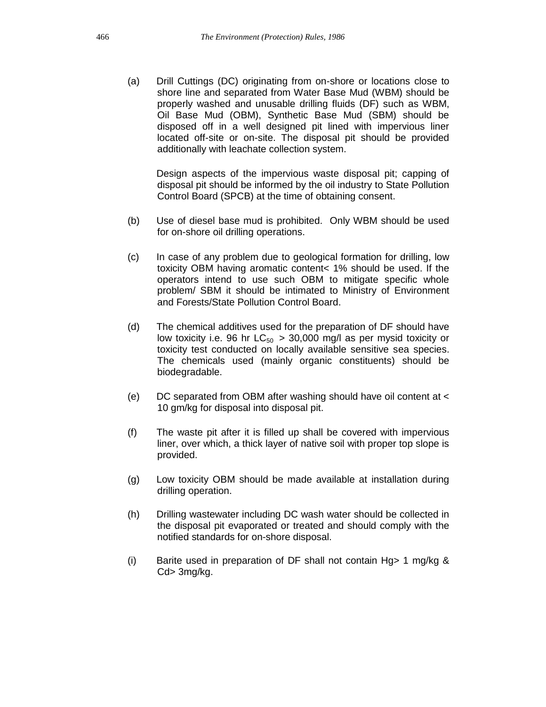(a) Drill Cuttings (DC) originating from on-shore or locations close to shore line and separated from Water Base Mud (WBM) should be properly washed and unusable drilling fluids (DF) such as WBM, Oil Base Mud (OBM), Synthetic Base Mud (SBM) should be disposed off in a well designed pit lined with impervious liner located off-site or on-site. The disposal pit should be provided additionally with leachate collection system.

Design aspects of the impervious waste disposal pit; capping of disposal pit should be informed by the oil industry to State Pollution Control Board (SPCB) at the time of obtaining consent.

- (b) Use of diesel base mud is prohibited. Only WBM should be used for on-shore oil drilling operations.
- (c) In case of any problem due to geological formation for drilling, low toxicity OBM having aromatic content< 1% should be used. If the operators intend to use such OBM to mitigate specific whole problem/ SBM it should be intimated to Ministry of Environment and Forests/State Pollution Control Board.
- (d) The chemical additives used for the preparation of DF should have low toxicity i.e. 96 hr  $LC_{50} > 30,000$  mg/l as per mysid toxicity or toxicity test conducted on locally available sensitive sea species. The chemicals used (mainly organic constituents) should be biodegradable.
- (e) DC separated from OBM after washing should have oil content at < 10 gm/kg for disposal into disposal pit.
- (f) The waste pit after it is filled up shall be covered with impervious liner, over which, a thick layer of native soil with proper top slope is provided.
- (g) Low toxicity OBM should be made available at installation during drilling operation.
- (h) Drilling wastewater including DC wash water should be collected in the disposal pit evaporated or treated and should comply with the notified standards for on-shore disposal.
- (i) Barite used in preparation of DF shall not contain Hg> 1 mg/kg & Cd> 3mg/kg.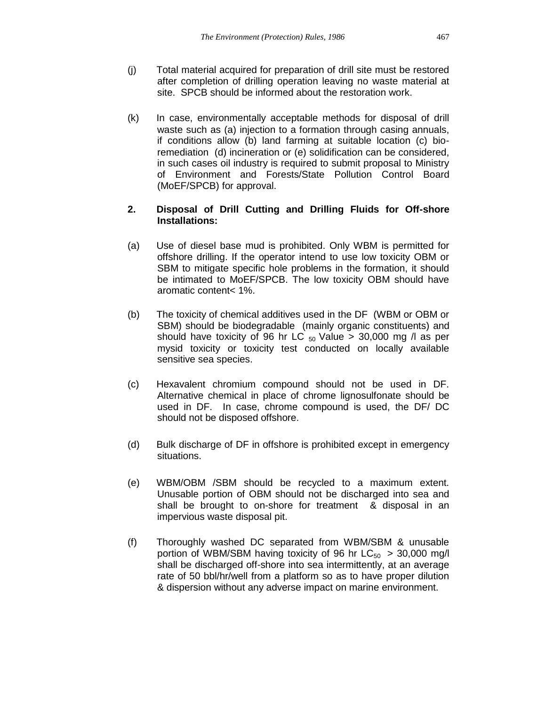- (j) Total material acquired for preparation of drill site must be restored after completion of drilling operation leaving no waste material at site. SPCB should be informed about the restoration work.
- (k) In case, environmentally acceptable methods for disposal of drill waste such as (a) injection to a formation through casing annuals, if conditions allow (b) land farming at suitable location (c) bioremediation (d) incineration or (e) solidification can be considered, in such cases oil industry is required to submit proposal to Ministry of Environment and Forests/State Pollution Control Board (MoEF/SPCB) for approval.

## **2. Disposal of Drill Cutting and Drilling Fluids for Off-shore Installations:**

- (a) Use of diesel base mud is prohibited. Only WBM is permitted for offshore drilling. If the operator intend to use low toxicity OBM or SBM to mitigate specific hole problems in the formation, it should be intimated to MoEF/SPCB. The low toxicity OBM should have aromatic content< 1%.
- (b) The toxicity of chemical additives used in the DF (WBM or OBM or SBM) should be biodegradable (mainly organic constituents) and should have toxicity of 96 hr LC  $_{50}$  Value > 30,000 mg /l as per mysid toxicity or toxicity test conducted on locally available sensitive sea species.
- (c) Hexavalent chromium compound should not be used in DF. Alternative chemical in place of chrome lignosulfonate should be used in DF. In case, chrome compound is used, the DF/ DC should not be disposed offshore.
- (d) Bulk discharge of DF in offshore is prohibited except in emergency situations.
- (e) WBM/OBM /SBM should be recycled to a maximum extent. Unusable portion of OBM should not be discharged into sea and shall be brought to on-shore for treatment & disposal in an impervious waste disposal pit.
- (f) Thoroughly washed DC separated from WBM/SBM & unusable portion of WBM/SBM having toxicity of 96 hr  $LC_{50} > 30,000$  mg/l shall be discharged off-shore into sea intermittently, at an average rate of 50 bbl/hr/well from a platform so as to have proper dilution & dispersion without any adverse impact on marine environment.